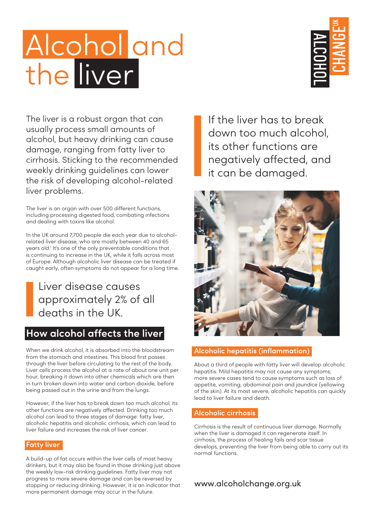# Alcohol and the liver



The liver is a robust organ that can usually process small amounts of alcohol, but heavy drinking can cause damage, ranging from fatty liver to cirrhosis. Sticking to the recommended weekly drinking guidelines can lower the risk of developing alcohol-related liver problems.

The liver is an organ with over 500 different functions, including processing digested food, combating infections and dealing with toxins like alcohol.

In the UK around 7,700 people die each year due to alcoholrelated liver disease, who are mostly between 40 and 65 years old.<sup>1</sup> It's one of the only preventable conditions that is continuing to increase in the UK, while it falls across most of Europe. Although alcoholic liver disease can be treated if caught early, often symptoms do not appear for a long time.

Liver disease causes approximately 2% of all deaths in the UK.

# **How alcohol affects the liver**

When we drink alcohol, it is absorbed into the bloodstream from the stomach and intestines. This blood first passes through the liver before circulating to the rest of the body. Liver cells process the alcohol at a rate of about one unit per hour, breaking it down into other chemicals which are then in turn broken down into water and carbon dioxide, before being passed out in the urine and from the lungs.

However, if the liver has to break down too much alcohol, its other functions are negatively affected. Drinking too much alcohol can lead to three stages of damage: fatty liver, alcoholic hepatitis and alcoholic cirrhosis, which can lead to liver failure and increases the risk of liver cancer.

#### **Fatty liver**

A build-up of fat occurs within the liver cells of most heavy drinkers, but it may also be found in those drinking just above the weekly low-risk drinking guidelines. Fatty liver may not progress to more severe damage and can be reversed by stopping or reducing drinking. However, it is an indicator that more permanent damage may occur in the future.

If the liver has to break down too much alcohol, its other functions are negatively affected, and it can be damaged.



#### **Alcoholic hepatitis (inflammation)**

About a third of people with fatty liver will develop alcoholic hepatitis. Mild hepatitis may not cause any symptoms; more severe cases tend to cause symptoms such as loss of appetite, vomiting, abdominal pain and jaundice (yellowing of the skin). At its most severe, alcoholic hepatitis can quickly lead to liver failure and death.

### **Alcoholic cirrhosis**

Cirrhosis is the result of continuous liver damage. Normally when the liver is damaged it can regenerate itself. In cirrhosis, the process of healing fails and scar tissue develops, preventing the liver from being able to carry out its normal functions.

## www.alcoholchange.org.uk